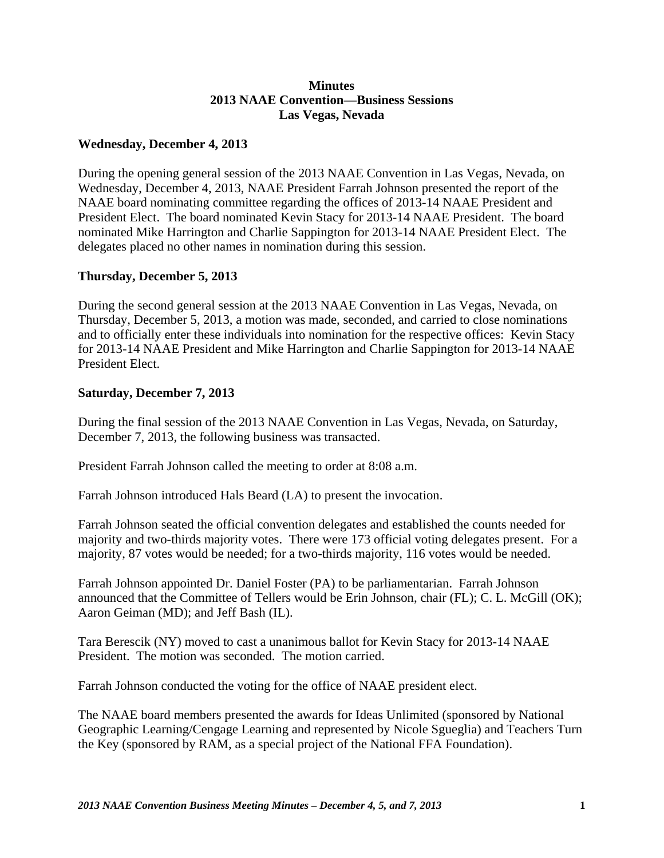## **Minutes 2013 NAAE Convention—Business Sessions Las Vegas, Nevada**

## **Wednesday, December 4, 2013**

During the opening general session of the 2013 NAAE Convention in Las Vegas, Nevada, on Wednesday, December 4, 2013, NAAE President Farrah Johnson presented the report of the NAAE board nominating committee regarding the offices of 2013-14 NAAE President and President Elect. The board nominated Kevin Stacy for 2013-14 NAAE President. The board nominated Mike Harrington and Charlie Sappington for 2013-14 NAAE President Elect. The delegates placed no other names in nomination during this session.

## **Thursday, December 5, 2013**

During the second general session at the 2013 NAAE Convention in Las Vegas, Nevada, on Thursday, December 5, 2013, a motion was made, seconded, and carried to close nominations and to officially enter these individuals into nomination for the respective offices: Kevin Stacy for 2013-14 NAAE President and Mike Harrington and Charlie Sappington for 2013-14 NAAE President Elect.

## **Saturday, December 7, 2013**

During the final session of the 2013 NAAE Convention in Las Vegas, Nevada, on Saturday, December 7, 2013, the following business was transacted.

President Farrah Johnson called the meeting to order at 8:08 a.m.

Farrah Johnson introduced Hals Beard (LA) to present the invocation.

Farrah Johnson seated the official convention delegates and established the counts needed for majority and two-thirds majority votes. There were 173 official voting delegates present. For a majority, 87 votes would be needed; for a two-thirds majority, 116 votes would be needed.

Farrah Johnson appointed Dr. Daniel Foster (PA) to be parliamentarian. Farrah Johnson announced that the Committee of Tellers would be Erin Johnson, chair (FL); C. L. McGill (OK); Aaron Geiman (MD); and Jeff Bash (IL).

Tara Berescik (NY) moved to cast a unanimous ballot for Kevin Stacy for 2013-14 NAAE President. The motion was seconded. The motion carried.

Farrah Johnson conducted the voting for the office of NAAE president elect.

The NAAE board members presented the awards for Ideas Unlimited (sponsored by National Geographic Learning/Cengage Learning and represented by Nicole Sgueglia) and Teachers Turn the Key (sponsored by RAM, as a special project of the National FFA Foundation).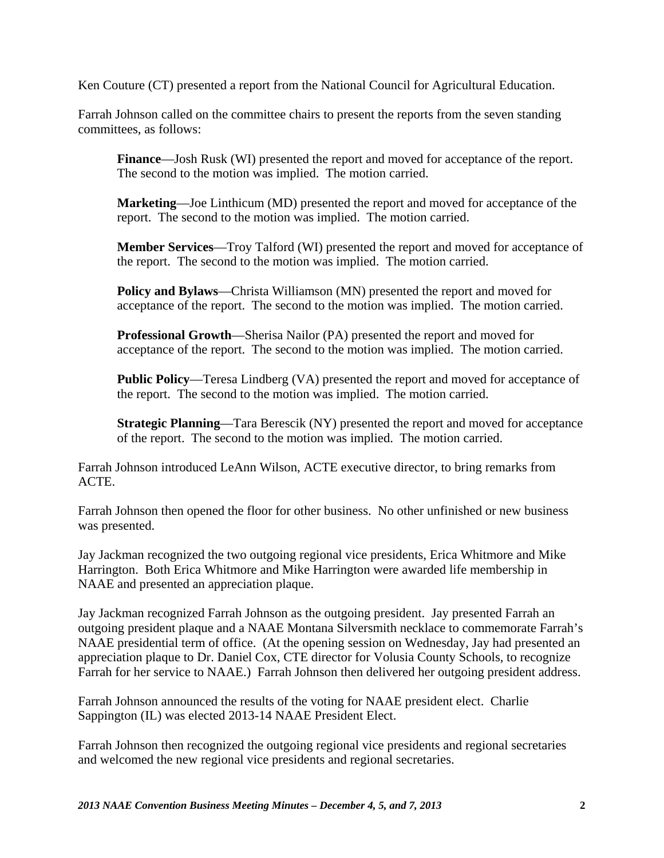Ken Couture (CT) presented a report from the National Council for Agricultural Education.

Farrah Johnson called on the committee chairs to present the reports from the seven standing committees, as follows:

**Finance**—Josh Rusk (WI) presented the report and moved for acceptance of the report. The second to the motion was implied. The motion carried.

**Marketing**—Joe Linthicum (MD) presented the report and moved for acceptance of the report. The second to the motion was implied. The motion carried.

**Member Services**—Troy Talford (WI) presented the report and moved for acceptance of the report. The second to the motion was implied. The motion carried.

**Policy and Bylaws**—Christa Williamson (MN) presented the report and moved for acceptance of the report. The second to the motion was implied. The motion carried.

**Professional Growth**—Sherisa Nailor (PA) presented the report and moved for acceptance of the report. The second to the motion was implied. The motion carried.

**Public Policy—Teresa Lindberg (VA) presented the report and moved for acceptance of** the report. The second to the motion was implied. The motion carried.

**Strategic Planning**—Tara Berescik (NY) presented the report and moved for acceptance of the report. The second to the motion was implied. The motion carried.

Farrah Johnson introduced LeAnn Wilson, ACTE executive director, to bring remarks from ACTE.

Farrah Johnson then opened the floor for other business. No other unfinished or new business was presented.

Jay Jackman recognized the two outgoing regional vice presidents, Erica Whitmore and Mike Harrington. Both Erica Whitmore and Mike Harrington were awarded life membership in NAAE and presented an appreciation plaque.

Jay Jackman recognized Farrah Johnson as the outgoing president. Jay presented Farrah an outgoing president plaque and a NAAE Montana Silversmith necklace to commemorate Farrah's NAAE presidential term of office. (At the opening session on Wednesday, Jay had presented an appreciation plaque to Dr. Daniel Cox, CTE director for Volusia County Schools, to recognize Farrah for her service to NAAE.) Farrah Johnson then delivered her outgoing president address.

Farrah Johnson announced the results of the voting for NAAE president elect. Charlie Sappington (IL) was elected 2013-14 NAAE President Elect.

Farrah Johnson then recognized the outgoing regional vice presidents and regional secretaries and welcomed the new regional vice presidents and regional secretaries.